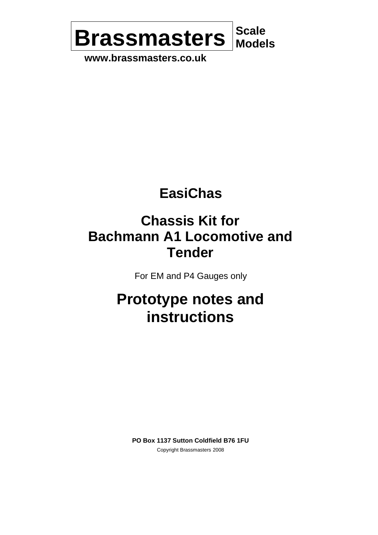

**www.brassmasters.co.uk**

# **EasiChas**

# **Chassis Kit for Bachmann A1 Locomotive and Tender**

For EM and P4 Gauges only

# **Prototype notes and instructions**

**PO Box 1137 Sutton Coldfield B76 1FU** Copyright Brassmasters 2008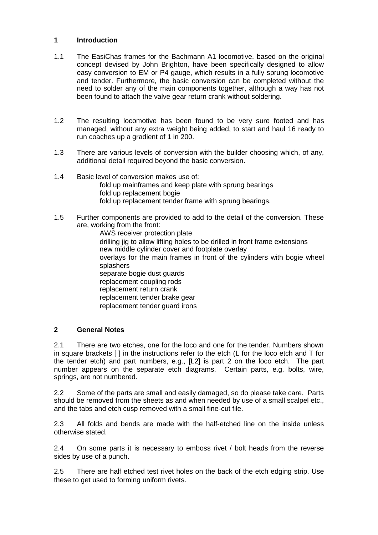#### **1 Introduction**

- 1.1 The EasiChas frames for the Bachmann A1 locomotive, based on the original concept devised by John Brighton, have been specifically designed to allow easy conversion to EM or P4 gauge, which results in a fully sprung locomotive and tender. Furthermore, the basic conversion can be completed without the need to solder any of the main components together, although a way has not been found to attach the valve gear return crank without soldering.
- 1.2 The resulting locomotive has been found to be very sure footed and has managed, without any extra weight being added, to start and haul 16 ready to run coaches up a gradient of 1 in 200.
- 1.3 There are various levels of conversion with the builder choosing which, of any, additional detail required beyond the basic conversion.
- 1.4 Basic level of conversion makes use of: fold up mainframes and keep plate with sprung bearings fold up replacement bogie fold up replacement tender frame with sprung bearings.
- 1.5 Further components are provided to add to the detail of the conversion. These are, working from the front:

AWS receiver protection plate drilling jig to allow lifting holes to be drilled in front frame extensions new middle cylinder cover and footplate overlay overlays for the main frames in front of the cylinders with bogie wheel splashers separate bogie dust guards replacement coupling rods replacement return crank replacement tender brake gear replacement tender guard irons

### **2 General Notes**

2.1 There are two etches, one for the loco and one for the tender. Numbers shown in square brackets [ ] in the instructions refer to the etch (L for the loco etch and T for the tender etch) and part numbers, e.g., [L2] is part 2 on the loco etch. The part number appears on the separate etch diagrams. Certain parts, e.g. bolts, wire, springs, are not numbered.

2.2 Some of the parts are small and easily damaged, so do please take care. Parts should be removed from the sheets as and when needed by use of a small scalpel etc., and the tabs and etch cusp removed with a small fine-cut file.

2.3 All folds and bends are made with the half-etched line on the inside unless otherwise stated.

2.4 On some parts it is necessary to emboss rivet / bolt heads from the reverse sides by use of a punch.

2.5 There are half etched test rivet holes on the back of the etch edging strip. Use these to get used to forming uniform rivets.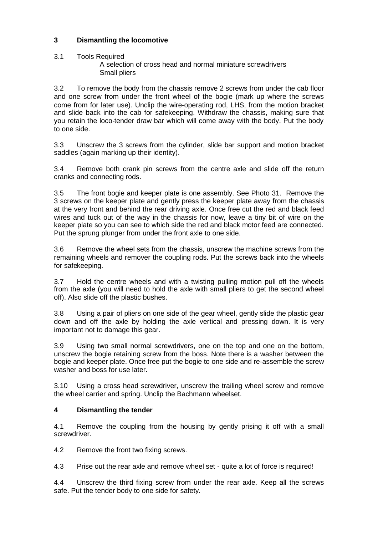# **3 Dismantling the locomotive**

#### 3.1 Tools Required A selection of cross head and normal miniature screwdrivers Small pliers

3.2 To remove the body from the chassis remove 2 screws from under the cab floor and one screw from under the front wheel of the bogie (mark up where the screws come from for later use). Unclip the wire-operating rod, LHS, from the motion bracket and slide back into the cab for safekeeping. Withdraw the chassis, making sure that you retain the loco-tender draw bar which will come away with the body. Put the body to one side.

3.3 Unscrew the 3 screws from the cylinder, slide bar support and motion bracket saddles (again marking up their identity).

3.4 Remove both crank pin screws from the centre axle and slide off the return cranks and connecting rods.

3.5 The front bogie and keeper plate is one assembly. See Photo 31. Remove the 3 screws on the keeper plate and gently press the keeper plate away from the chassis at the very front and behind the rear driving axle. Once free cut the red and black feed wires and tuck out of the way in the chassis for now, leave a tiny bit of wire on the keeper plate so you can see to which side the red and black motor feed are connected. Put the sprung plunger from under the front axle to one side.

3.6 Remove the wheel sets from the chassis, unscrew the machine screws from the remaining wheels and remover the coupling rods. Put the screws back into the wheels for safekeeping.

3.7 Hold the centre wheels and with a twisting pulling motion pull off the wheels from the axle (you will need to hold the axle with small pliers to get the second wheel off). Also slide off the plastic bushes.

3.8 Using a pair of pliers on one side of the gear wheel, gently slide the plastic gear down and off the axle by holding the axle vertical and pressing down. It is very important not to damage this gear.

3.9 Using two small normal screwdrivers, one on the top and one on the bottom, unscrew the bogie retaining screw from the boss. Note there is a washer between the bogie and keeper plate. Once free put the bogie to one side and re-assemble the screw washer and boss for use later.

3.10 Using a cross head screwdriver, unscrew the trailing wheel screw and remove the wheel carrier and spring. Unclip the Bachmann wheelset.

### **4 Dismantling the tender**

4.1 Remove the coupling from the housing by gently prising it off with a small screwdriver.

4.2 Remove the front two fixing screws.

4.3 Prise out the rear axle and remove wheel set - quite a lot of force is required!

4.4 Unscrew the third fixing screw from under the rear axle. Keep all the screws safe. Put the tender body to one side for safety.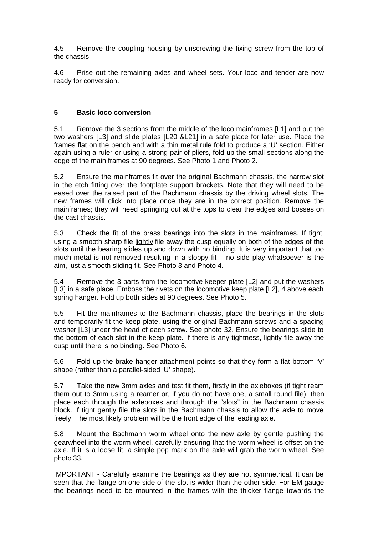4.5 Remove the coupling housing by unscrewing the fixing screw from the top of the chassis.

4.6 Prise out the remaining axles and wheel sets. Your loco and tender are now ready for conversion.

# **5 Basic loco conversion**

5.1 Remove the 3 sections from the middle of the loco mainframes [L1] and put the two washers [L3] and slide plates [L20 &L21] in a safe place for later use. Place the frames flat on the bench and with a thin metal rule fold to produce a 'U' section. Either again using a ruler or using a strong pair of pliers, fold up the small sections along the edge of the main frames at 90 degrees. See Photo 1 and Photo 2.

5.2 Ensure the mainframes fit over the original Bachmann chassis, the narrow slot in the etch fitting over the footplate support brackets. Note that they will need to be eased over the raised part of the Bachmann chassis by the driving wheel slots. The new frames will click into place once they are in the correct position. Remove the mainframes; they will need springing out at the tops to clear the edges and bosses on the cast chassis.

5.3 Check the fit of the brass bearings into the slots in the mainframes. If tight, using a smooth sharp file lightly file away the cusp equally on both of the edges of the slots until the bearing slides up and down with no binding. It is very important that too much metal is not removed resulting in a sloppy fit  $-$  no side play whatsoever is the aim, just a smooth sliding fit. See Photo 3 and Photo 4.

5.4 Remove the 3 parts from the locomotive keeper plate [L2] and put the washers [L3] in a safe place. Emboss the rivets on the locomotive keep plate [L2], 4 above each spring hanger. Fold up both sides at 90 degrees. See Photo 5.

5.5 Fit the mainframes to the Bachmann chassis, place the bearings in the slots and temporarily fit the keep plate, using the original Bachmann screws and a spacing washer [L3] under the head of each screw. See photo 32. Ensure the bearings slide to the bottom of each slot in the keep plate. If there is any tightness, lightly file away the cusp until there is no binding. See Photo 6.

5.6 Fold up the brake hanger attachment points so that they form a flat bottom 'V' shape (rather than a parallel-sided 'U' shape).

5.7 Take the new 3mm axles and test fit them, firstly in the axleboxes (if tight ream them out to 3mm using a reamer or, if you do not have one, a small round file), then place each through the axleboxes and through the "slots" in the Bachmann chassis block. If tight gently file the slots in the **Bachmann chassis** to allow the axle to move freely. The most likely problem will be the front edge of the leading axle.

5.8 Mount the Bachmann worm wheel onto the new axle by gentle pushing the gearwheel into the worm wheel, carefully ensuring that the worm wheel is offset on the axle. If it is a loose fit, a simple pop mark on the axle will grab the worm wheel. See photo 33.

IMPORTANT - Carefully examine the bearings as they are not symmetrical. It can be seen that the flange on one side of the slot is wider than the other side. For EM gauge the bearings need to be mounted in the frames with the thicker flange towards the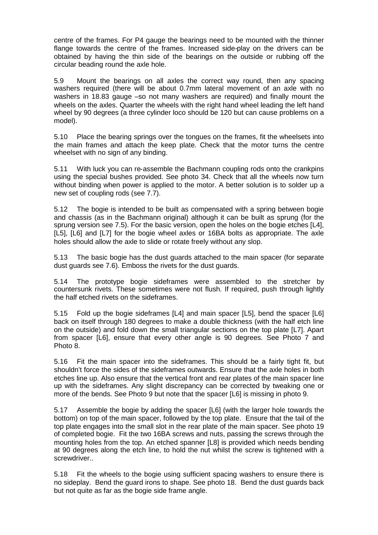centre of the frames. For P4 gauge the bearings need to be mounted with the thinner flange towards the centre of the frames. Increased side-play on the drivers can be obtained by having the thin side of the bearings on the outside or rubbing off the circular beading round the axle hole.

5.9 Mount the bearings on all axles the correct way round, then any spacing washers required (there will be about 0.7mm lateral movement of an axle with no washers in 18.83 gauge –so not many washers are required) and finally mount the wheels on the axles. Quarter the wheels with the right hand wheel leading the left hand wheel by 90 degrees (a three cylinder loco should be 120 but can cause problems on a model).

5.10 Place the bearing springs over the tongues on the frames, fit the wheelsets into the main frames and attach the keep plate. Check that the motor turns the centre wheelset with no sign of any binding.

5.11 With luck you can re-assemble the Bachmann coupling rods onto the crankpins using the special bushes provided. See photo 34. Check that all the wheels now turn without binding when power is applied to the motor. A better solution is to solder up a new set of coupling rods (see 7.7).

5.12 The bogie is intended to be built as compensated with a spring between bogie and chassis (as in the Bachmann original) although it can be built as sprung (for the sprung version see 7.5). For the basic version, open the holes on the bogie etches [L4], [L5], [L6] and [L7] for the bogie wheel axles or 16BA bolts as appropriate. The axle holes should allow the axle to slide or rotate freely without any slop.

5.13 The basic bogie has the dust guards attached to the main spacer (for separate dust guards see 7.6). Emboss the rivets for the dust guards.

5.14 The prototype bogie sideframes were assembled to the stretcher by countersunk rivets. These sometimes were not flush. If required, push through lightly the half etched rivets on the sideframes.

5.15 Fold up the bogie sideframes [L4] and main spacer [L5], bend the spacer [L6] back on itself through 180 degrees to make a double thickness (with the half etch line on the outside) and fold down the small triangular sections on the top plate [L7]. Apart from spacer [L6], ensure that every other angle is 90 degrees. See Photo 7 and Photo 8.

5.16 Fit the main spacer into the sideframes. This should be a fairly tight fit, but shouldn't force the sides of the sideframes outwards. Ensure that the axle holes in both etches line up. Also ensure that the vertical front and rear plates of the main spacer line up with the sideframes. Any slight discrepancy can be corrected by tweaking one or more of the bends. See Photo 9 but note that the spacer [L6] is missing in photo 9.

5.17 Assemble the bogie by adding the spacer [L6] (with the larger hole towards the bottom) on top of the main spacer, followed by the top plate. Ensure that the tail of the top plate engages into the small slot in the rear plate of the main spacer. See photo 19 of completed bogie. Fit the two 16BA screws and nuts, passing the screws through the mounting holes from the top. An etched spanner [L8] is provided which needs bending at 90 degrees along the etch line, to hold the nut whilst the screw is tightened with a screwdriver..

5.18 Fit the wheels to the bogie using sufficient spacing washers to ensure there is no sideplay. Bend the guard irons to shape. See photo 18. Bend the dust guards back but not quite as far as the bogie side frame angle.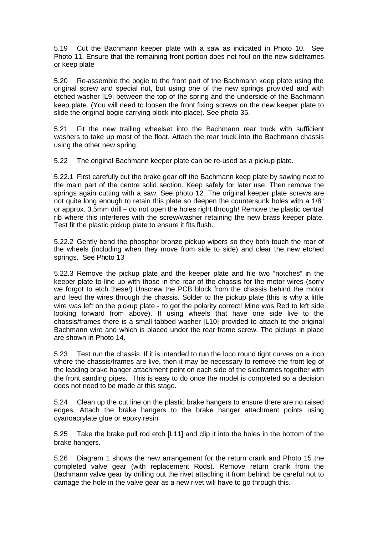5.19 Cut the Bachmann keeper plate with a saw as indicated in Photo 10. See Photo 11. Ensure that the remaining front portion does not foul on the new sideframes or keep plate

5.20 Re-assemble the bogie to the front part of the Bachmann keep plate using the original screw and special nut, but using one of the new springs provided and with etched washer [L9] between the top of the spring and the underside of the Bachmann keep plate. (You will need to loosen the front fixing screws on the new keeper plate to slide the original bogie carrying block into place). See photo 35.

5.21 Fit the new trailing wheelset into the Bachmann rear truck with sufficient washers to take up most of the float. Attach the rear truck into the Bachmann chassis using the other new spring.

5.22 The original Bachmann keeper plate can be re-used as a pickup plate.

5.22.1 First carefully cut the brake gear off the Bachmann keep plate by sawing next to the main part of the centre solid section. Keep safely for later use. Then remove the springs again cutting with a saw. See photo 12. The original keeper plate screws are not quite long enough to retain this plate so deepen the countersunk holes with a 1/8" or approx. 3.5mm drill – do not open the holes right through! Remove the plastic central rib where this interferes with the screw/washer retaining the new brass keeper plate. Test fit the plastic pickup plate to ensure it fits flush.

5.22.2 Gently bend the phosphor bronze pickup wipers so they both touch the rear of the wheels (including when they move from side to side) and clear the new etched springs. See Photo 13

5.22.3 Remove the pickup plate and the keeper plate and file two "notches" in the keeper plate to line up with those in the rear of the chassis for the motor wires (sorry we forgot to etch these!) Unscrew the PCB block from the chassis behind the motor and feed the wires through the chassis. Solder to the pickup plate (this is why a little wire was left on the pickup plate - to get the polarity correct! Mine was Red to left side looking forward from above). If using wheels that have one side live to the chassis/frames there is a small tabbed washer [L10] provided to attach to the original Bachmann wire and which is placed under the rear frame screw. The piclups in place are shown in Photo 14.

5.23 Test run the chassis. If it is intended to run the loco round tight curves on a loco where the chassis/frames are live, then it may be necessary to remove the front leg of the leading brake hanger attachment point on each side of the sideframes together with the front sanding pipes. This is easy to do once the model is completed so a decision does not need to be made at this stage.

5.24 Clean up the cut line on the plastic brake hangers to ensure there are no raised edges. Attach the brake hangers to the brake hanger attachment points using cyanoacrylate glue or epoxy resin.

5.25 Take the brake pull rod etch [L11] and clip it into the holes in the bottom of the brake hangers.

5.26 Diagram 1 shows the new arrangement for the return crank and Photo 15 the completed valve gear (with replacement Rods). Remove return crank from the Bachmann valve gear by drilling out the rivet attaching it from behind; be careful not to damage the hole in the valve gear as a new rivet will have to go through this.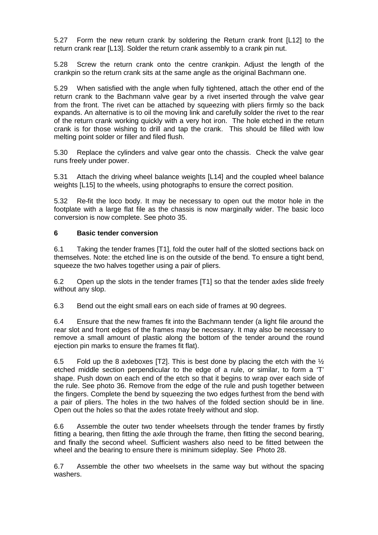5.27 Form the new return crank by soldering the Return crank front [L12] to the return crank rear [L13]. Solder the return crank assembly to a crank pin nut.

5.28 Screw the return crank onto the centre crankpin. Adjust the length of the crankpin so the return crank sits at the same angle as the original Bachmann one.

5.29 When satisfied with the angle when fully tightened, attach the other end of the return crank to the Bachmann valve gear by a rivet inserted through the valve gear from the front. The rivet can be attached by squeezing with pliers firmly so the back expands. An alternative is to oil the moving link and carefully solder the rivet to the rear of the return crank working quickly with a very hot iron. The hole etched in the return crank is for those wishing to drill and tap the crank. This should be filled with low melting point solder or filler and filed flush.

5.30 Replace the cylinders and valve gear onto the chassis. Check the valve gear runs freely under power.

5.31 Attach the driving wheel balance weights [L14] and the coupled wheel balance weights [L15] to the wheels, using photographs to ensure the correct position.

5.32 Re-fit the loco body. It may be necessary to open out the motor hole in the footplate with a large flat file as the chassis is now marginally wider. The basic loco conversion is now complete. See photo 35.

#### **6 Basic tender conversion**

6.1 Taking the tender frames [T1], fold the outer half of the slotted sections back on themselves. Note: the etched line is on the outside of the bend. To ensure a tight bend, squeeze the two halves together using a pair of pliers.

6.2 Open up the slots in the tender frames [T1] so that the tender axles slide freely without any slop.

6.3 Bend out the eight small ears on each side of frames at 90 degrees.

6.4 Ensure that the new frames fit into the Bachmann tender (a light file around the rear slot and front edges of the frames may be necessary. It may also be necessary to remove a small amount of plastic along the bottom of the tender around the round ejection pin marks to ensure the frames fit flat).

6.5 Fold up the 8 axleboxes [T2]. This is best done by placing the etch with the  $\frac{1}{2}$ etched middle section perpendicular to the edge of a rule, or similar, to form a 'T' shape. Push down on each end of the etch so that it begins to wrap over each side of the rule. See photo 36. Remove from the edge of the rule and push together between the fingers. Complete the bend by squeezing the two edges furthest from the bend with a pair of pliers. The holes in the two halves of the folded section should be in line. Open out the holes so that the axles rotate freely without and slop.

6.6 Assemble the outer two tender wheelsets through the tender frames by firstly fitting a bearing, then fitting the axle through the frame, then fitting the second bearing, and finally the second wheel. Sufficient washers also need to be fitted between the wheel and the bearing to ensure there is minimum sideplay. See Photo 28.

6.7 Assemble the other two wheelsets in the same way but without the spacing washers.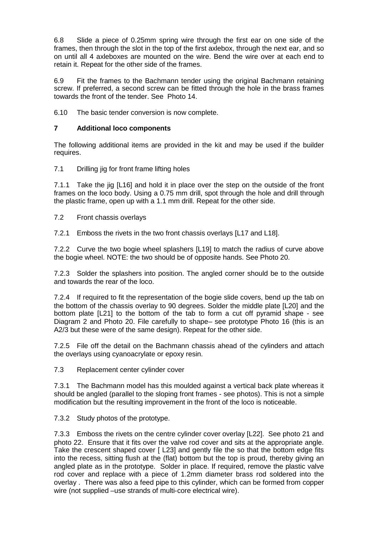6.8 Slide a piece of 0.25mm spring wire through the first ear on one side of the frames, then through the slot in the top of the first axlebox, through the next ear, and so on until all 4 axleboxes are mounted on the wire. Bend the wire over at each end to retain it. Repeat for the other side of the frames.

6.9 Fit the frames to the Bachmann tender using the original Bachmann retaining screw. If preferred, a second screw can be fitted through the hole in the brass frames towards the front of the tender. See Photo 14.

6.10 The basic tender conversion is now complete.

# **7 Additional loco components**

The following additional items are provided in the kit and may be used if the builder requires.

7.1 Drilling jig for front frame lifting holes

7.1.1 Take the jig [L16] and hold it in place over the step on the outside of the front frames on the loco body. Using a 0.75 mm drill, spot through the hole and drill through the plastic frame, open up with a 1.1 mm drill. Repeat for the other side.

7.2 Front chassis overlays

7.2.1 Emboss the rivets in the two front chassis overlays [L17 and L18].

7.2.2 Curve the two bogie wheel splashers [L19] to match the radius of curve above the bogie wheel. NOTE: the two should be of opposite hands. See Photo 20.

7.2.3 Solder the splashers into position. The angled corner should be to the outside and towards the rear of the loco.

7.2.4 If required to fit the representation of the bogie slide covers, bend up the tab on the bottom of the chassis overlay to 90 degrees. Solder the middle plate [L20] and the bottom plate [L21] to the bottom of the tab to form a cut off pyramid shape - see Diagram 2 and Photo 20. File carefully to shape– see prototype Photo 16 (this is an A2/3 but these were of the same design). Repeat for the other side.

7.2.5 File off the detail on the Bachmann chassis ahead of the cylinders and attach the overlays using cyanoacrylate or epoxy resin.

7.3 Replacement center cylinder cover

7.3.1 The Bachmann model has this moulded against a vertical back plate whereas it should be angled (parallel to the sloping front frames - see photos). This is not a simple modification but the resulting improvement in the front of the loco is noticeable.

7.3.2 Study photos of the prototype.

7.3.3 Emboss the rivets on the centre cylinder cover overlay [L22]. See photo 21 and photo 22. Ensure that it fits over the valve rod cover and sits at the appropriate angle. Take the crescent shaped cover [ L23] and gently file the so that the bottom edge fits into the recess, sitting flush at the (flat) bottom but the top is proud, thereby giving an angled plate as in the prototype. Solder in place. If required, remove the plastic valve rod cover and replace with a piece of 1.2mm diameter brass rod soldered into the overlay . There was also a feed pipe to this cylinder, which can be formed from copper wire (not supplied –use strands of multi-core electrical wire).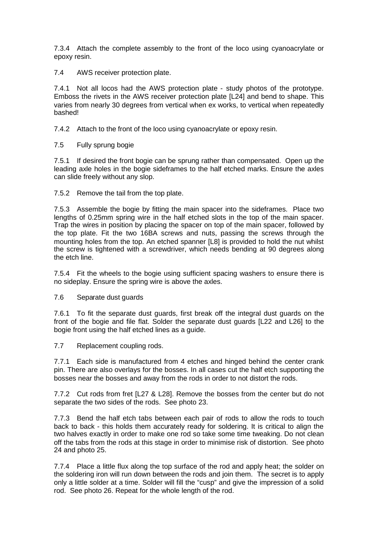7.3.4 Attach the complete assembly to the front of the loco using cyanoacrylate or epoxy resin.

7.4 AWS receiver protection plate.

7.4.1 Not all locos had the AWS protection plate - study photos of the prototype. Emboss the rivets in the AWS receiver protection plate [L24] and bend to shape. This varies from nearly 30 degrees from vertical when ex works, to vertical when repeatedly bashed!

7.4.2 Attach to the front of the loco using cyanoacrylate or epoxy resin.

7.5 Fully sprung bogie

7.5.1 If desired the front bogie can be sprung rather than compensated. Open up the leading axle holes in the bogie sideframes to the half etched marks. Ensure the axles can slide freely without any slop.

7.5.2 Remove the tail from the top plate.

7.5.3 Assemble the bogie by fitting the main spacer into the sideframes. Place two lengths of 0.25mm spring wire in the half etched slots in the top of the main spacer. Trap the wires in position by placing the spacer on top of the main spacer, followed by the top plate. Fit the two 16BA screws and nuts, passing the screws through the mounting holes from the top. An etched spanner [L8] is provided to hold the nut whilst the screw is tightened with a screwdriver, which needs bending at 90 degrees along the etch line.

7.5.4 Fit the wheels to the bogie using sufficient spacing washers to ensure there is no sideplay. Ensure the spring wire is above the axles.

7.6 Separate dust guards

7.6.1 To fit the separate dust guards, first break off the integral dust guards on the front of the bogie and file flat. Solder the separate dust guards [L22 and L26] to the bogie front using the half etched lines as a guide.

7.7 Replacement coupling rods.

7.7.1 Each side is manufactured from 4 etches and hinged behind the center crank pin. There are also overlays for the bosses. In all cases cut the half etch supporting the bosses near the bosses and away from the rods in order to not distort the rods.

7.7.2 Cut rods from fret [L27 & L28]. Remove the bosses from the center but do not separate the two sides of the rods. See photo 23.

7.7.3 Bend the half etch tabs between each pair of rods to allow the rods to touch back to back - this holds them accurately ready for soldering. It is critical to align the two halves exactly in order to make one rod so take some time tweaking. Do not clean off the tabs from the rods at this stage in order to minimise risk of distortion. See photo 24 and photo 25.

7.7.4 Place a little flux along the top surface of the rod and apply heat; the solder on the soldering iron will run down between the rods and join them. The secret is to apply only a little solder at a time. Solder will fill the "cusp" and give the impression of a solid rod. See photo 26. Repeat for the whole length of the rod.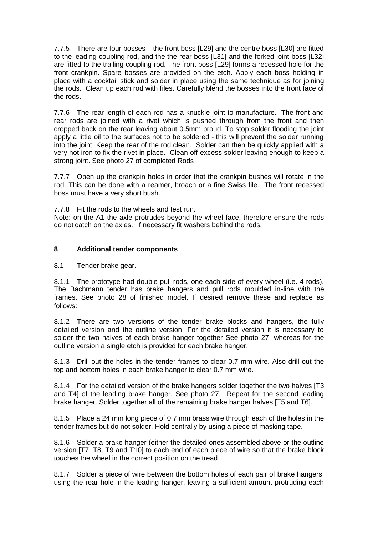7.7.5 There are four bosses – the front boss [L29] and the centre boss [L30] are fitted to the leading coupling rod, and the the rear boss [L31] and the forked joint boss [L32] are fitted to the trailing coupling rod. The front boss [L29] forms a recessed hole for the front crankpin. Spare bosses are provided on the etch. Apply each boss holding in place with a cocktail stick and solder in place using the same technique as for joining the rods. Clean up each rod with files. Carefully blend the bosses into the front face of the rods.

7.7.6 The rear length of each rod has a knuckle joint to manufacture. The front and rear rods are joined with a rivet which is pushed through from the front and then cropped back on the rear leaving about 0.5mm proud. To stop solder flooding the joint apply a little oil to the surfaces not to be soldered - this will prevent the solder running into the joint. Keep the rear of the rod clean. Solder can then be quickly applied with a very hot iron to fix the rivet in place. Clean off excess solder leaving enough to keep a strong joint. See photo 27 of completed Rods

7.7.7 Open up the crankpin holes in order that the crankpin bushes will rotate in the rod. This can be done with a reamer, broach or a fine Swiss file. The front recessed boss must have a very short bush.

7.7.8 Fit the rods to the wheels and test run.

Note: on the A1 the axle protrudes beyond the wheel face, therefore ensure the rods do not catch on the axles. If necessary fit washers behind the rods.

### **8 Additional tender components**

8.1 Tender brake gear.

8.1.1 The prototype had double pull rods, one each side of every wheel (i.e. 4 rods). The Bachmann tender has brake hangers and pull rods moulded in-line with the frames. See photo 28 of finished model. If desired remove these and replace as follows:

8.1.2 There are two versions of the tender brake blocks and hangers, the fully detailed version and the outline version. For the detailed version it is necessary to solder the two halves of each brake hanger together See photo 27, whereas for the outline version a single etch is provided for each brake hanger.

8.1.3 Drill out the holes in the tender frames to clear 0.7 mm wire. Also drill out the top and bottom holes in each brake hanger to clear 0.7 mm wire.

8.1.4 For the detailed version of the brake hangers solder together the two halves [T3 and T4] of the leading brake hanger. See photo 27. Repeat for the second leading brake hanger. Solder together all of the remaining brake hanger halves [T5 and T6].

8.1.5 Place a 24 mm long piece of 0.7 mm brass wire through each of the holes in the tender frames but do not solder. Hold centrally by using a piece of masking tape.

8.1.6 Solder a brake hanger (either the detailed ones assembled above or the outline version [T7, T8, T9 and T10] to each end of each piece of wire so that the brake block touches the wheel in the correct position on the tread.

8.1.7 Solder a piece of wire between the bottom holes of each pair of brake hangers, using the rear hole in the leading hanger, leaving a sufficient amount protruding each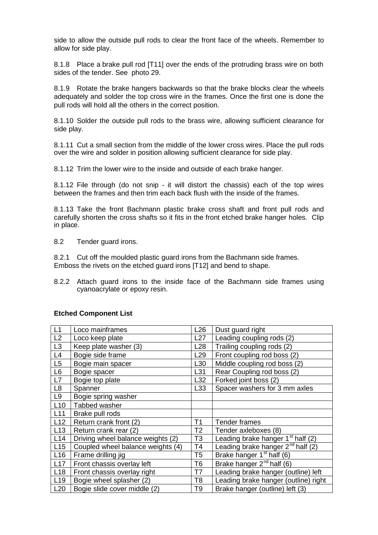side to allow the outside pull rods to clear the front face of the wheels. Remember to allow for side play.

8.1.8 Place a brake pull rod [T11] over the ends of the protruding brass wire on both sides of the tender. See photo 29.

8.1.9 Rotate the brake hangers backwards so that the brake blocks clear the wheels adequately and solder the top cross wire in the frames. Once the first one is done the pull rods will hold all the others in the correct position.

8.1.10 Solder the outside pull rods to the brass wire, allowing sufficient clearance for side play.

8.1.11 Cut a small section from the middle of the lower cross wires. Place the pull rods over the wire and solder in position allowing sufficient clearance for side play.

8.1.12 Trim the lower wire to the inside and outside of each brake hanger.

8.1.12 File through (do not snip - it will distort the chassis) each of the top wires between the frames and then trim each back flush with the inside of the frames.

8.1.13 Take the front Bachmann plastic brake cross shaft and front pull rods and carefully shorten the cross shafts so it fits in the front etched brake hanger holes. Clip in place.

8.2 Tender guard irons.

8.2.1 Cut off the moulded plastic guard irons from the Bachmann side frames. Emboss the rivets on the etched guard irons [T12] and bend to shape.

8.2.2 Attach guard irons to the inside face of the Bachmann side frames using cyanoacrylate or epoxy resin.

| L1              | Loco mainframes                   | L26             | Dust guard right                       |
|-----------------|-----------------------------------|-----------------|----------------------------------------|
| L2              | Loco keep plate                   | L27             | Leading coupling rods (2)              |
| L <sub>3</sub>  | Keep plate washer (3)             | L28             | Trailing coupling rods (2)             |
| L4              | Bogie side frame                  | L <sub>29</sub> | Front coupling rod boss (2)            |
| L <sub>5</sub>  | Bogie main spacer                 | L30             | Middle coupling rod boss (2)           |
| L <sub>6</sub>  | Bogie spacer                      | L31             | Rear Coupling rod boss (2)             |
| L7              | Bogie top plate                   | L32             | Forked joint boss (2)                  |
| L8              | Spanner                           | L33             | Spacer washers for 3 mm axles          |
| L9              | Bogie spring washer               |                 |                                        |
| L10             | Tabbed washer                     |                 |                                        |
| L11             | Brake pull rods                   |                 |                                        |
| L12             | Return crank front (2)            | T <sub>1</sub>  | Tender frames                          |
| L13             | Return crank rear (2)             | T <sub>2</sub>  | Tender axleboxes (8)                   |
| L14             | Driving wheel balance weights (2) | T <sub>3</sub>  | Leading brake hanger $1st$ half (2)    |
| L15             | Coupled wheel balance weights (4) | T <sub>4</sub>  | Leading brake hanger $2^{nd}$ half (2) |
| L <sub>16</sub> | Frame drilling jig                | T <sub>5</sub>  | Brake hanger $1st$ half (6)            |
| L17             | Front chassis overlay left        | T <sub>6</sub>  | Brake hanger $2^{nd}$ half (6)         |
| L18             | Front chassis overlay right       | T7              | Leading brake hanger (outline) left    |
| L <sub>19</sub> | Bogie wheel splasher (2)          | T <sub>8</sub>  | Leading brake hanger (outline) right   |
| L20             | Bogie slide cover middle (2)      | T <sub>9</sub>  | Brake hanger (outline) left (3)        |

### **Etched Component List**